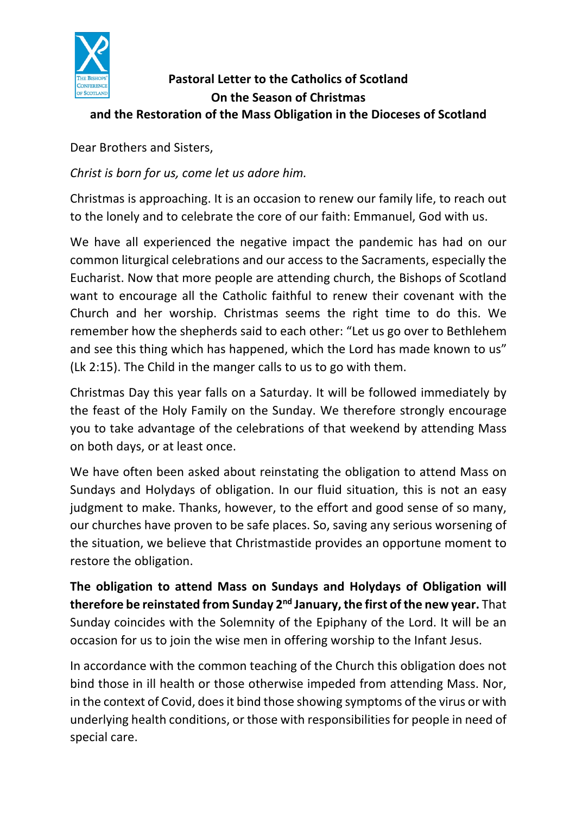

## **Pastoral Letter to the Catholics of Scotland On the Season of Christmas and the Restoration of the Mass Obligation in the Dioceses of Scotland**

Dear Brothers and Sisters,

*Christ is born for us, come let us adore him.*

Christmas is approaching. It is an occasion to renew our family life, to reach out to the lonely and to celebrate the core of our faith: Emmanuel, God with us.

We have all experienced the negative impact the pandemic has had on our common liturgical celebrations and our access to the Sacraments, especially the Eucharist. Now that more people are attending church, the Bishops of Scotland want to encourage all the Catholic faithful to renew their covenant with the Church and her worship. Christmas seems the right time to do this. We remember how the shepherds said to each other: "Let us go over to Bethlehem and see this thing which has happened, which the Lord has made known to us" (Lk 2:15). The Child in the manger calls to us to go with them.

Christmas Day this year falls on a Saturday. It will be followed immediately by the feast of the Holy Family on the Sunday. We therefore strongly encourage you to take advantage of the celebrations of that weekend by attending Mass on both days, or at least once.

We have often been asked about reinstating the obligation to attend Mass on Sundays and Holydays of obligation. In our fluid situation, this is not an easy judgment to make. Thanks, however, to the effort and good sense of so many, our churches have proven to be safe places. So, saving any serious worsening of the situation, we believe that Christmastide provides an opportune moment to restore the obligation.

**The obligation to attend Mass on Sundays and Holydays of Obligation will therefore be reinstated from Sunday 2nd January,the first of the new year.** That Sunday coincides with the Solemnity of the Epiphany of the Lord. It will be an occasion for us to join the wise men in offering worship to the Infant Jesus.

In accordance with the common teaching of the Church this obligation does not bind those in ill health or those otherwise impeded from attending Mass. Nor, in the context of Covid, does it bind those showing symptoms of the virus or with underlying health conditions, or those with responsibilities for people in need of special care.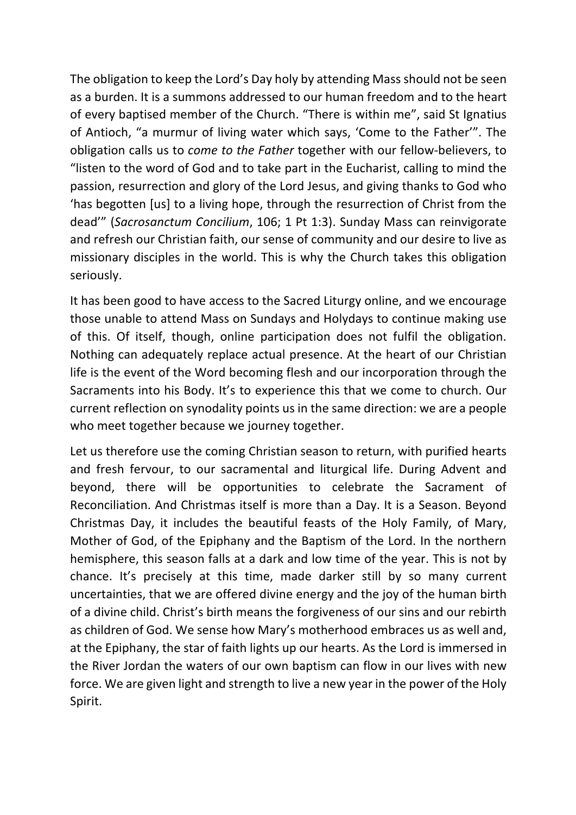The obligation to keep the Lord's Day holy by attending Mass should not be seen as a burden. It is a summons addressed to our human freedom and to the heart of every baptised member of the Church. "There is within me", said St Ignatius of Antioch, "a murmur of living water which says, 'Come to the Father'". The obligation calls us to *come to the Father* together with our fellow-believers, to "listen to the word of God and to take part in the Eucharist, calling to mind the passion, resurrection and glory of the Lord Jesus, and giving thanks to God who 'has begotten [us] to a living hope, through the resurrection of Christ from the dead'" (*Sacrosanctum Concilium*, 106; 1 Pt 1:3). Sunday Mass can reinvigorate and refresh our Christian faith, our sense of community and our desire to live as missionary disciples in the world. This is why the Church takes this obligation seriously.

It has been good to have access to the Sacred Liturgy online, and we encourage those unable to attend Mass on Sundays and Holydays to continue making use of this. Of itself, though, online participation does not fulfil the obligation. Nothing can adequately replace actual presence. At the heart of our Christian life is the event of the Word becoming flesh and our incorporation through the Sacraments into his Body. It's to experience this that we come to church. Our current reflection on synodality points us in the same direction: we are a people who meet together because we journey together.

Let us therefore use the coming Christian season to return, with purified hearts and fresh fervour, to our sacramental and liturgical life. During Advent and beyond, there will be opportunities to celebrate the Sacrament of Reconciliation. And Christmas itself is more than a Day. It is a Season. Beyond Christmas Day, it includes the beautiful feasts of the Holy Family, of Mary, Mother of God, of the Epiphany and the Baptism of the Lord. In the northern hemisphere, this season falls at a dark and low time of the year. This is not by chance. It's precisely at this time, made darker still by so many current uncertainties, that we are offered divine energy and the joy of the human birth of a divine child. Christ's birth means the forgiveness of our sins and our rebirth as children of God. We sense how Mary's motherhood embraces us as well and, at the Epiphany, the star of faith lights up our hearts. As the Lord is immersed in the River Jordan the waters of our own baptism can flow in our lives with new force. We are given light and strength to live a new year in the power of the Holy Spirit.